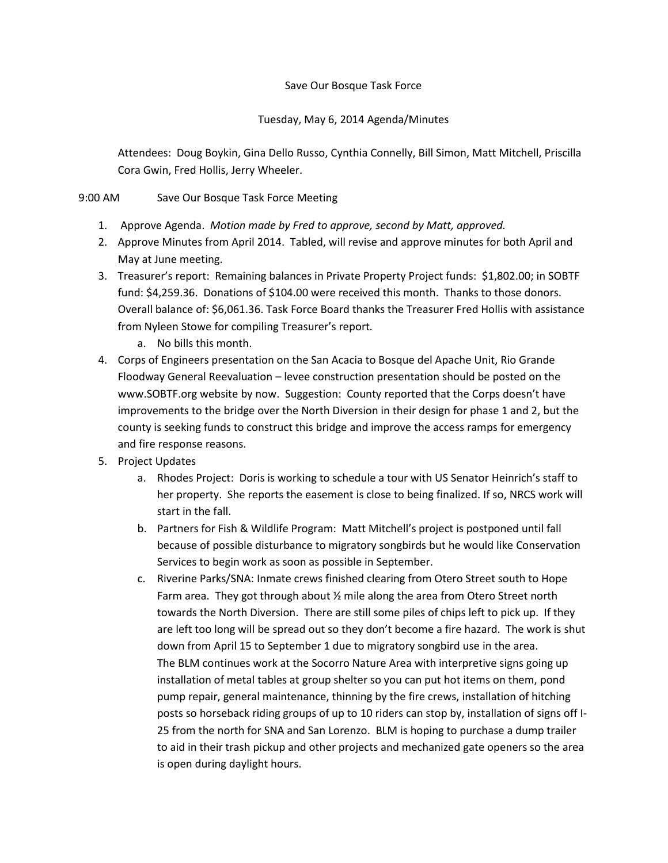## Save Our Bosque Task Force

## Tuesday, May 6, 2014 Agenda/Minutes

Attendees: Doug Boykin, Gina Dello Russo, Cynthia Connelly, Bill Simon, Matt Mitchell, Priscilla Cora Gwin, Fred Hollis, Jerry Wheeler.

## 9:00 AM Save Our Bosque Task Force Meeting

- 1. Approve Agenda. *Motion made by Fred to approve, second by Matt, approved.*
- 2. Approve Minutes from April 2014. Tabled, will revise and approve minutes for both April and May at June meeting.
- 3. Treasurer's report: Remaining balances in Private Property Project funds: \$1,802.00; in SOBTF fund: \$4,259.36. Donations of \$104.00 were received this month. Thanks to those donors. Overall balance of: \$6,061.36. Task Force Board thanks the Treasurer Fred Hollis with assistance from Nyleen Stowe for compiling Treasurer's report*.*
	- a. No bills this month.
- 4. Corps of Engineers presentation on the San Acacia to Bosque del Apache Unit, Rio Grande Floodway General Reevaluation – levee construction presentation should be posted on the www.SOBTF.org website by now. Suggestion: County reported that the Corps doesn't have improvements to the bridge over the North Diversion in their design for phase 1 and 2, but the county is seeking funds to construct this bridge and improve the access ramps for emergency and fire response reasons.
- 5. Project Updates
	- a. Rhodes Project: Doris is working to schedule a tour with US Senator Heinrich's staff to her property. She reports the easement is close to being finalized. If so, NRCS work will start in the fall.
	- b. Partners for Fish & Wildlife Program: Matt Mitchell's project is postponed until fall because of possible disturbance to migratory songbirds but he would like Conservation Services to begin work as soon as possible in September.
	- c. Riverine Parks/SNA: Inmate crews finished clearing from Otero Street south to Hope Farm area. They got through about ½ mile along the area from Otero Street north towards the North Diversion. There are still some piles of chips left to pick up. If they are left too long will be spread out so they don't become a fire hazard. The work is shut down from April 15 to September 1 due to migratory songbird use in the area. The BLM continues work at the Socorro Nature Area with interpretive signs going up installation of metal tables at group shelter so you can put hot items on them, pond pump repair, general maintenance, thinning by the fire crews, installation of hitching posts so horseback riding groups of up to 10 riders can stop by, installation of signs off I-25 from the north for SNA and San Lorenzo. BLM is hoping to purchase a dump trailer to aid in their trash pickup and other projects and mechanized gate openers so the area is open during daylight hours.